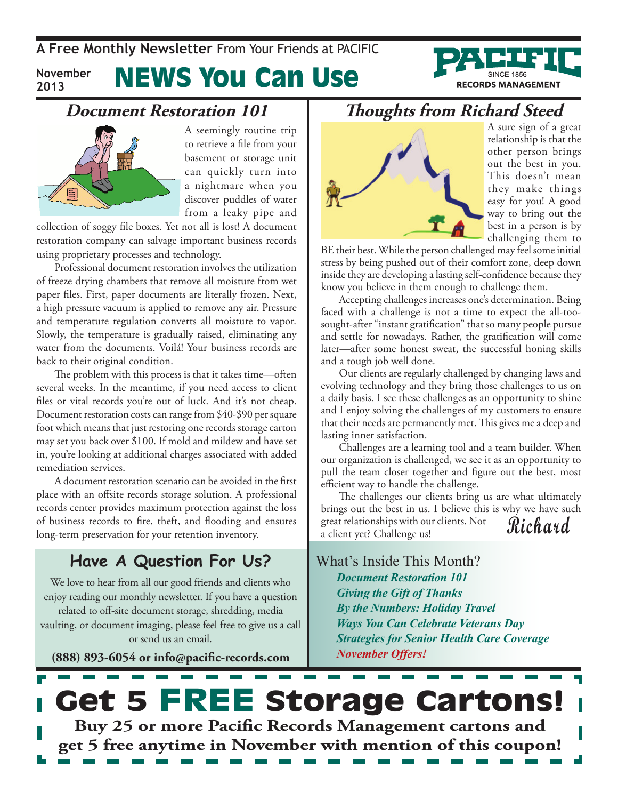**A Free Monthly Newsletter** From Your Friends at Pacific

**November 2013**

# News You Can Use



### **Document Restoration 101**



A seemingly routine trip to retrieve a file from your basement or storage unit can quickly turn into a nightmare when you discover puddles of water from a leaky pipe and

collection of soggy file boxes. Yet not all is lost! A document restoration company can salvage important business records using proprietary processes and technology.

Professional document restoration involves the utilization of freeze drying chambers that remove all moisture from wet paper files. First, paper documents are literally frozen. Next, a high pressure vacuum is applied to remove any air. Pressure and temperature regulation converts all moisture to vapor. Slowly, the temperature is gradually raised, eliminating any water from the documents. Voilá! Your business records are back to their original condition.

The problem with this process is that it takes time—often several weeks. In the meantime, if you need access to client files or vital records you're out of luck. And it's not cheap. Document restoration costs can range from \$40-\$90 per square foot which means that just restoring one records storage carton may set you back over \$100. If mold and mildew and have set in, you're looking at additional charges associated with added remediation services.

A document restoration scenario can be avoided in the first place with an offsite records storage solution. A professional records center provides maximum protection against the loss of business records to fire, theft, and flooding and ensures long-term preservation for your retention inventory.

### **Have A Question For Us?**

We love to hear from all our good friends and clients who enjoy reading our monthly newsletter. If you have a question related to off-site document storage, shredding, media vaulting, or document imaging, please feel free to give us a call or send us an email.

**(888) 893-6054 or info@pacific-records.com**

### **Thoughts from Richard Steed**



A sure sign of a great relationship is that the other person brings out the best in you. This doesn't mean they make things easy for you! A good way to bring out the best in a person is by challenging them to

BE their best. While the person challenged may feel some initial stress by being pushed out of their comfort zone, deep down inside they are developing a lasting self-confidence because they know you believe in them enough to challenge them.

Accepting challenges increases one's determination. Being faced with a challenge is not a time to expect the all-toosought-after "instant gratification" that so many people pursue and settle for nowadays. Rather, the gratification will come later—after some honest sweat, the successful honing skills and a tough job well done.

Our clients are regularly challenged by changing laws and evolving technology and they bring those challenges to us on a daily basis. I see these challenges as an opportunity to shine and I enjoy solving the challenges of my customers to ensure that their needs are permanently met. This gives me a deep and lasting inner satisfaction.

Challenges are a learning tool and a team builder. When our organization is challenged, we see it as an opportunity to pull the team closer together and figure out the best, most efficient way to handle the challenge.

**Richard** The challenges our clients bring us are what ultimately brings out the best in us. I believe this is why we have such great relationships with our clients. Not a client yet? Challenge us!

What's Inside This Month? *Document Restoration 101 Giving the Gift of Thanks By the Numbers: Holiday Travel Ways You Can Celebrate Veterans Day Strategies for Senior Health Care Coverage November Offers!*

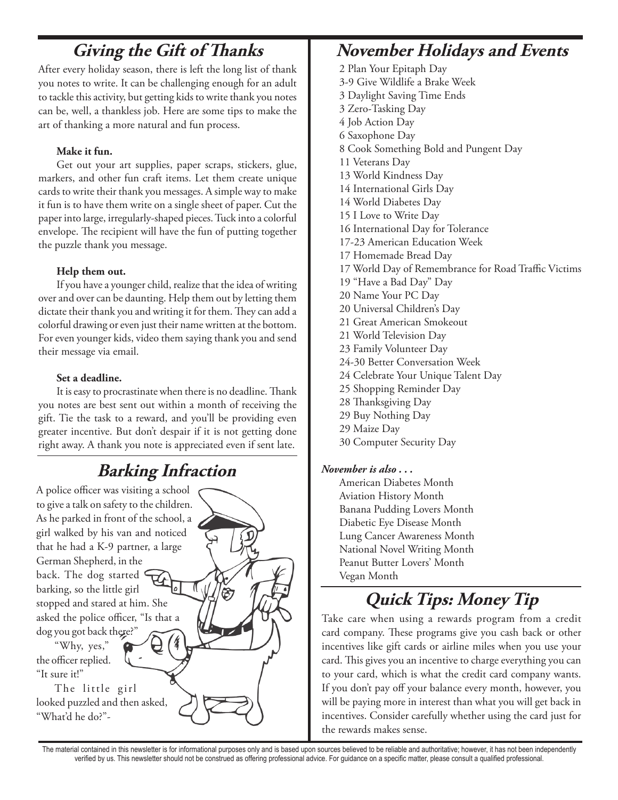## **Giving the Gift of Thanks**

After every holiday season, there is left the long list of thank you notes to write. It can be challenging enough for an adult to tackle this activity, but getting kids to write thank you notes can be, well, a thankless job. Here are some tips to make the art of thanking a more natural and fun process.

### **Make it fun.**

Get out your art supplies, paper scraps, stickers, glue, markers, and other fun craft items. Let them create unique cards to write their thank you messages. A simple way to make it fun is to have them write on a single sheet of paper. Cut the paper into large, irregularly-shaped pieces. Tuck into a colorful envelope. The recipient will have the fun of putting together the puzzle thank you message.

### **Help them out.**

If you have a younger child, realize that the idea of writing over and over can be daunting. Help them out by letting them dictate their thank you and writing it for them. They can add a colorful drawing or even just their name written at the bottom. For even younger kids, video them saying thank you and send their message via email.

#### **Set a deadline.**

"What'd he do?"-

It is easy to procrastinate when there is no deadline. Thank you notes are best sent out within a month of receiving the gift. Tie the task to a reward, and you'll be providing even greater incentive. But don't despair if it is not getting done right away. A thank you note is appreciated even if sent late.

## **Barking Infraction**

A police officer was visiting a school to give a talk on safety to the children. As he parked in front of the school, a girl walked by his van and noticed that he had a K-9 partner, a large German Shepherd, in the back. The dog started barking, so the little girl stopped and stared at him. She asked the police officer, "Is that a dog you got back there?" "Why, yes," the officer replied. "It sure it!" The little girl looked puzzled and then asked,

## **November Holidays and Events**

2 Plan Your Epitaph Day 3-9 Give Wildlife a Brake Week 3 Daylight Saving Time Ends 3 Zero-Tasking Day 4 Job Action Day 6 Saxophone Day 8 Cook Something Bold and Pungent Day 11 Veterans Day 13 World Kindness Day 14 International Girls Day 14 World Diabetes Day 15 I Love to Write Day 16 International Day for Tolerance 17-23 American Education Week 17 Homemade Bread Day 17 World Day of Remembrance for Road Traffic Victims 19 "Have a Bad Day" Day 20 Name Your PC Day 20 Universal Children's Day 21 Great American Smokeout 21 World Television Day 23 Family Volunteer Day 24-30 Better Conversation Week 24 Celebrate Your Unique Talent Day 25 Shopping Reminder Day 28 Thanksgiving Day 29 Buy Nothing Day 29 Maize Day 30 Computer Security Day

### *November is also . . .*

American Diabetes Month Aviation History Month Banana Pudding Lovers Month Diabetic Eye Disease Month Lung Cancer Awareness Month National Novel Writing Month Peanut Butter Lovers' Month Vegan Month

# **Quick Tips: Money Tip**

Take care when using a rewards program from a credit card company. These programs give you cash back or other incentives like gift cards or airline miles when you use your card. This gives you an incentive to charge everything you can to your card, which is what the credit card company wants. If you don't pay off your balance every month, however, you will be paying more in interest than what you will get back in incentives. Consider carefully whether using the card just for the rewards makes sense.

The material contained in this newsletter is for informational purposes only and is based upon sources believed to be reliable and authoritative; however, it has not been independently verified by us. This newsletter should not be construed as offering professional advice. For guidance on a specific matter, please consult a qualified professional.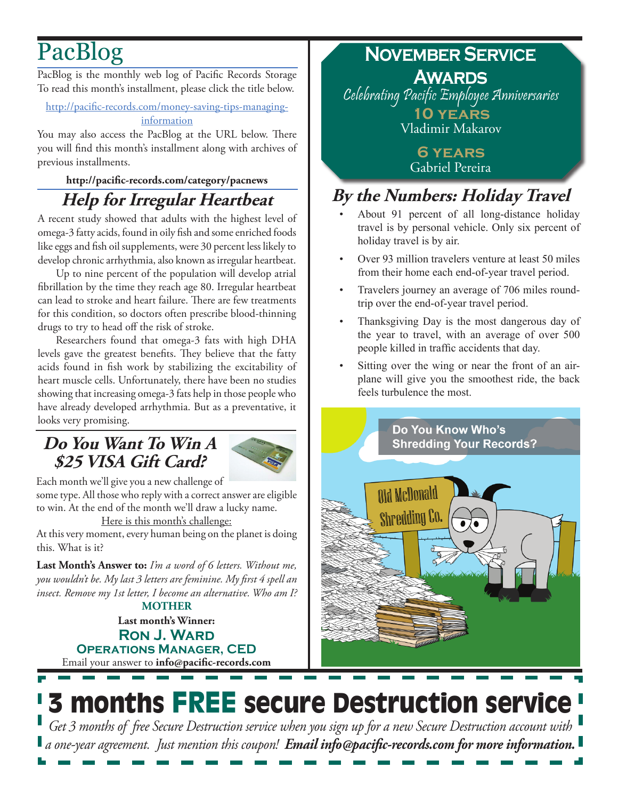# PacBlog

PacBlog is the monthly web log of Pacific Records Storage To read this month's installment, please click the title below.

#### [http://pacific-records.com/money-saving-tips-managing](http://pacific-records.com/money-saving-tips-managing-information)[information](http://pacific-records.com/money-saving-tips-managing-information)

You may also access the PacBlog at the URL below. There you will find this month's installment along with archives of previous installments.

### **<http://pacific-records.com/category/pacnews> Help for Irregular Heartbeat**

A recent study showed that adults with the highest level of omega-3 fatty acids, found in oily fish and some enriched foods like eggs and fish oil supplements, were 30 percent less likely to develop chronic arrhythmia, also known as irregular heartbeat.

Up to nine percent of the population will develop atrial fibrillation by the time they reach age 80. Irregular heartbeat can lead to stroke and heart failure. There are few treatments for this condition, so doctors often prescribe blood-thinning drugs to try to head off the risk of stroke.

Researchers found that omega-3 fats with high DHA levels gave the greatest benefits. They believe that the fatty acids found in fish work by stabilizing the excitability of heart muscle cells. Unfortunately, there have been no studies showing that increasing omega-3 fats help in those people who have already developed arrhythmia. But as a preventative, it looks very promising.

## **Do You Want To Win A \$25 VISA Gift Card?**



Each month we'll give you a new challenge of some type. All those who reply with a correct answer are eligible to win. At the end of the month we'll draw a lucky name.

Here is this month's challenge:

At this very moment, every human being on the planet is doing this. What is it?

**Last Month's Answer to:** *I'm a word of 6 letters. Without me, you wouldn't be. My last 3 letters are feminine. My first 4 spell an insect. Remove my 1st letter, I become an alternative. Who am I?* **MOTHER**

Email your answer to **info@pacific-records.com Last month's Winner: Ron J. Ward Operations Manager, CED**

## **November Service Awards** Celebrating Pacific Employee Anniversaries

**10 years** Vladimir Makarov

> **6 years** Gabriel Pereira

## **By the Numbers: Holiday Travel**

- About 91 percent of all long-distance holiday travel is by personal vehicle. Only six percent of holiday travel is by air.
- Over 93 million travelers venture at least 50 miles from their home each end-of-year travel period.
- Travelers journey an average of 706 miles roundtrip over the end-of-year travel period.
- Thanksgiving Day is the most dangerous day of the year to travel, with an average of over 500 people killed in traffic accidents that day.
- Sitting over the wing or near the front of an airplane will give you the smoothest ride, the back feels turbulence the most.



# 3 months FREE secure Destruction service

*Get 3 months of free Secure Destruction service when you sign up for a new Secure Destruction account with a one-year agreement. Just mention this coupon! Email info@pacific-records.com for more information.*